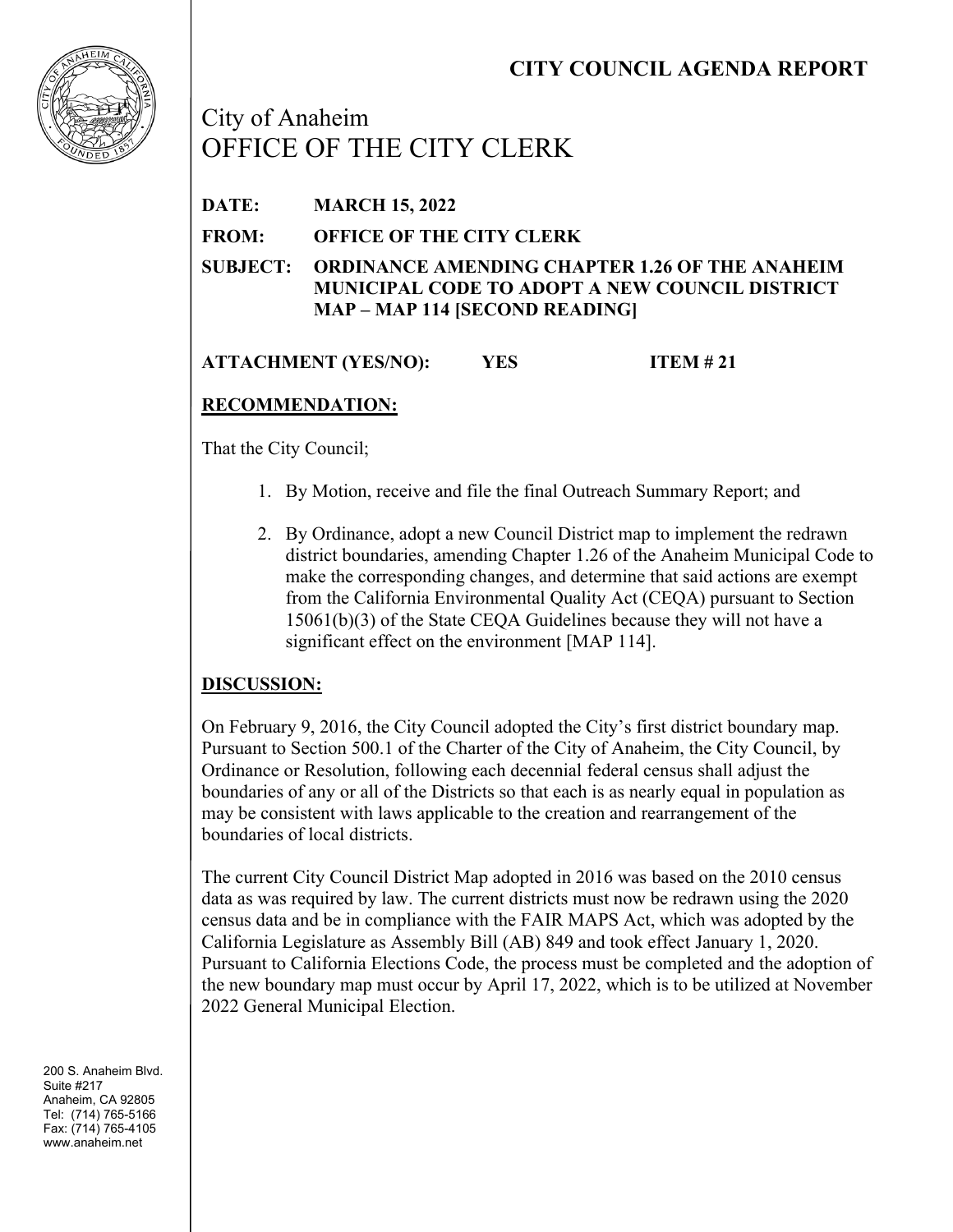

City of Anaheim OFFICE OF THE CITY CLERK

**DATE: MARCH 15, 2022**

**FROM: OFFICE OF THE CITY CLERK**

**SUBJECT: ORDINANCE AMENDING CHAPTER 1.26 OF THE ANAHEIM MUNICIPAL CODE TO ADOPT A NEW COUNCIL DISTRICT MAP – MAP 114 [SECOND READING]**

**ATTACHMENT (YES/NO): YES ITEM # 21**

# **RECOMMENDATION:**

That the City Council;

- 1. By Motion, receive and file the final Outreach Summary Report; and
- 2. By Ordinance, adopt a new Council District map to implement the redrawn district boundaries, amending Chapter 1.26 of the Anaheim Municipal Code to make the corresponding changes, and determine that said actions are exempt from the California Environmental Quality Act (CEQA) pursuant to Section 15061(b)(3) of the State CEQA Guidelines because they will not have a significant effect on the environment [MAP 114].

# **DISCUSSION:**

On February 9, 2016, the City Council adopted the City's first district boundary map. Pursuant to Section 500.1 of the Charter of the City of Anaheim, the City Council, by Ordinance or Resolution, following each decennial federal census shall adjust the boundaries of any or all of the Districts so that each is as nearly equal in population as may be consistent with laws applicable to the creation and rearrangement of the boundaries of local districts.

The current City Council District Map adopted in 2016 was based on the 2010 census data as was required by law. The current districts must now be redrawn using the 2020 census data and be in compliance with the FAIR MAPS Act, which was adopted by the California Legislature as Assembly Bill (AB) 849 and took effect January 1, 2020. Pursuant to California Elections Code, the process must be completed and the adoption of the new boundary map must occur by April 17, 2022, which is to be utilized at November 2022 General Municipal Election.

200 S. Anaheim Blvd. Suite #217 Anaheim, CA 92805 Tel: (714) 765-5166 Fax: (714) 765-4105 www.anaheim.net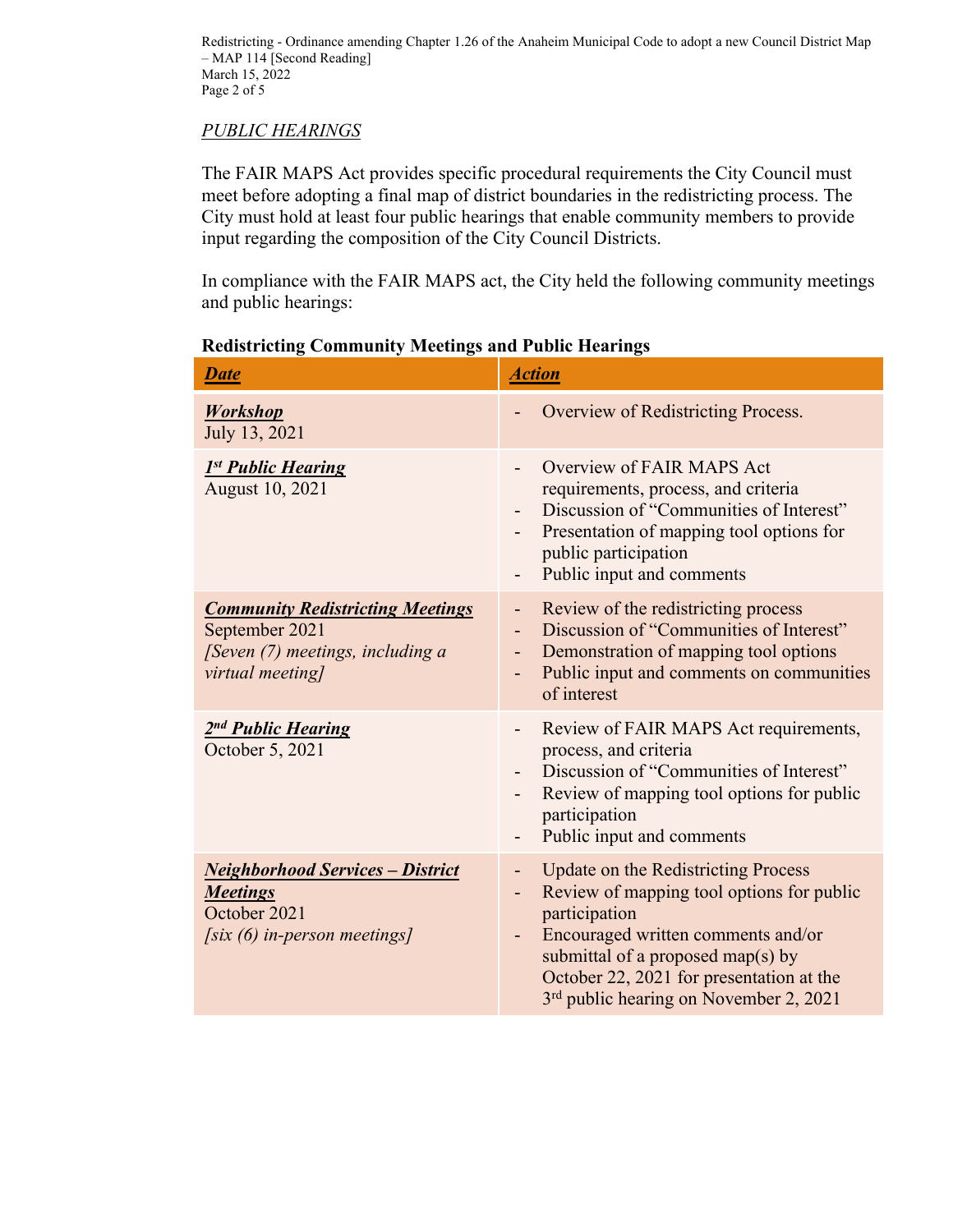Redistricting - Ordinance amending Chapter 1.26 of the Anaheim Municipal Code to adopt a new Council District Map – MAP 114 [Second Reading] March 15, 2022 Page 2 of 5

#### *PUBLIC HEARINGS*

The FAIR MAPS Act provides specific procedural requirements the City Council must meet before adopting a final map of district boundaries in the redistricting process. The City must hold at least four public hearings that enable community members to provide input regarding the composition of the City Council Districts.

In compliance with the FAIR MAPS act, the City held the following community meetings and public hearings:

| <b>Date</b>                                                                                                              | <b>Action</b>                                                                                                                                                                                                                                                                               |
|--------------------------------------------------------------------------------------------------------------------------|---------------------------------------------------------------------------------------------------------------------------------------------------------------------------------------------------------------------------------------------------------------------------------------------|
| <b>Workshop</b><br>July 13, 2021                                                                                         | Overview of Redistricting Process.                                                                                                                                                                                                                                                          |
| 1st Public Hearing<br>August 10, 2021                                                                                    | Overview of FAIR MAPS Act<br>requirements, process, and criteria<br>Discussion of "Communities of Interest"<br>Presentation of mapping tool options for<br>public participation<br>Public input and comments                                                                                |
| <b>Community Redistricting Meetings</b><br>September 2021<br>[Seven (7) meetings, including a<br>virtual meeting]        | Review of the redistricting process<br>Ξ.<br>Discussion of "Communities of Interest"<br>$\overline{\phantom{0}}$<br>Demonstration of mapping tool options<br>Ξ.<br>Public input and comments on communities<br>-<br>of interest                                                             |
| 2nd Public Hearing<br>October 5, 2021                                                                                    | Review of FAIR MAPS Act requirements,<br>$\overline{\phantom{0}}$<br>process, and criteria<br>Discussion of "Communities of Interest"<br>Review of mapping tool options for public<br>participation<br>Public input and comments                                                            |
| <b>Neighborhood Services - District</b><br><b>Meetings</b><br>October 2021<br>$\sqrt{\text{s}ix(6)}$ in-person meetings] | <b>Update on the Redistricting Process</b><br>Ξ.<br>Review of mapping tool options for public<br>participation<br>Encouraged written comments and/or<br>submittal of a proposed map(s) by<br>October 22, 2021 for presentation at the<br>3 <sup>rd</sup> public hearing on November 2, 2021 |

#### **Redistricting Community Meetings and Public Hearings**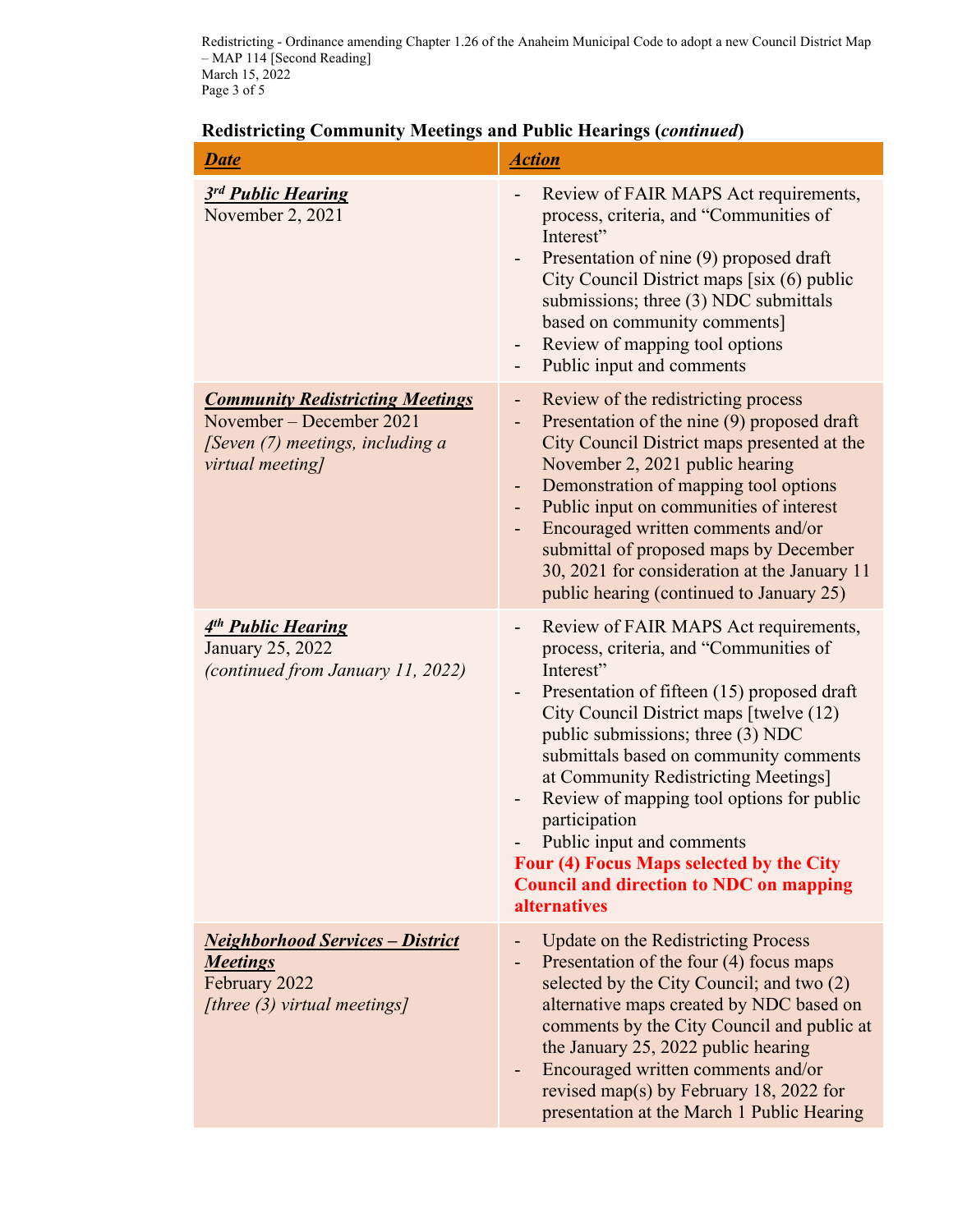Redistricting - Ordinance amending Chapter 1.26 of the Anaheim Municipal Code to adopt a new Council District Map – MAP 114 [Second Reading] March 15, 2022 Page 3 of 5

# **Redistricting Community Meetings and Public Hearings (***continued***)**

| <b>Date</b>                                                                                                                 | <b>Action</b>                                                                                                                                                                                                                                                                                                                                                                                                                                                                                                                                                                         |
|-----------------------------------------------------------------------------------------------------------------------------|---------------------------------------------------------------------------------------------------------------------------------------------------------------------------------------------------------------------------------------------------------------------------------------------------------------------------------------------------------------------------------------------------------------------------------------------------------------------------------------------------------------------------------------------------------------------------------------|
| 3rd Public Hearing<br>November 2, 2021                                                                                      | Review of FAIR MAPS Act requirements,<br>process, criteria, and "Communities of<br>Interest"<br>Presentation of nine (9) proposed draft<br>$\overline{\phantom{a}}$<br>City Council District maps [six (6) public<br>submissions; three (3) NDC submittals<br>based on community comments]<br>Review of mapping tool options<br>-<br>Public input and comments<br>$\qquad \qquad \blacksquare$                                                                                                                                                                                        |
| <b>Community Redistricting Meetings</b><br>November – December 2021<br>[Seven (7) meetings, including a<br>virtual meeting] | Review of the redistricting process<br>$\blacksquare$<br>Presentation of the nine (9) proposed draft<br>-<br>City Council District maps presented at the<br>November 2, 2021 public hearing<br>Demonstration of mapping tool options<br>$\overline{\phantom{a}}$<br>Public input on communities of interest<br>Encouraged written comments and/or<br>submittal of proposed maps by December<br>30, 2021 for consideration at the January 11<br>public hearing (continued to January 25)                                                                                               |
| 4 <sup>th</sup> Public Hearing<br>January 25, 2022<br>(continued from January 11, 2022)                                     | Review of FAIR MAPS Act requirements,<br>$\overline{\phantom{a}}$<br>process, criteria, and "Communities of<br>Interest"<br>Presentation of fifteen (15) proposed draft<br>City Council District maps [twelve (12)<br>public submissions; three (3) NDC<br>submittals based on community comments<br>at Community Redistricting Meetings]<br>Review of mapping tool options for public<br>$\overline{\phantom{a}}$<br>participation<br>Public input and comments<br>Four (4) Focus Maps selected by the City<br><b>Council and direction to NDC on mapping</b><br><i>alternatives</i> |
| <b>Neighborhood Services - District</b><br><b>Meetings</b><br>February 2022<br>[three (3) virtual meetings]                 | <b>Update on the Redistricting Process</b><br>Presentation of the four (4) focus maps<br>$\overline{\phantom{a}}$<br>selected by the City Council; and two (2)<br>alternative maps created by NDC based on<br>comments by the City Council and public at<br>the January 25, 2022 public hearing<br>Encouraged written comments and/or<br>revised map(s) by February 18, 2022 for<br>presentation at the March 1 Public Hearing                                                                                                                                                        |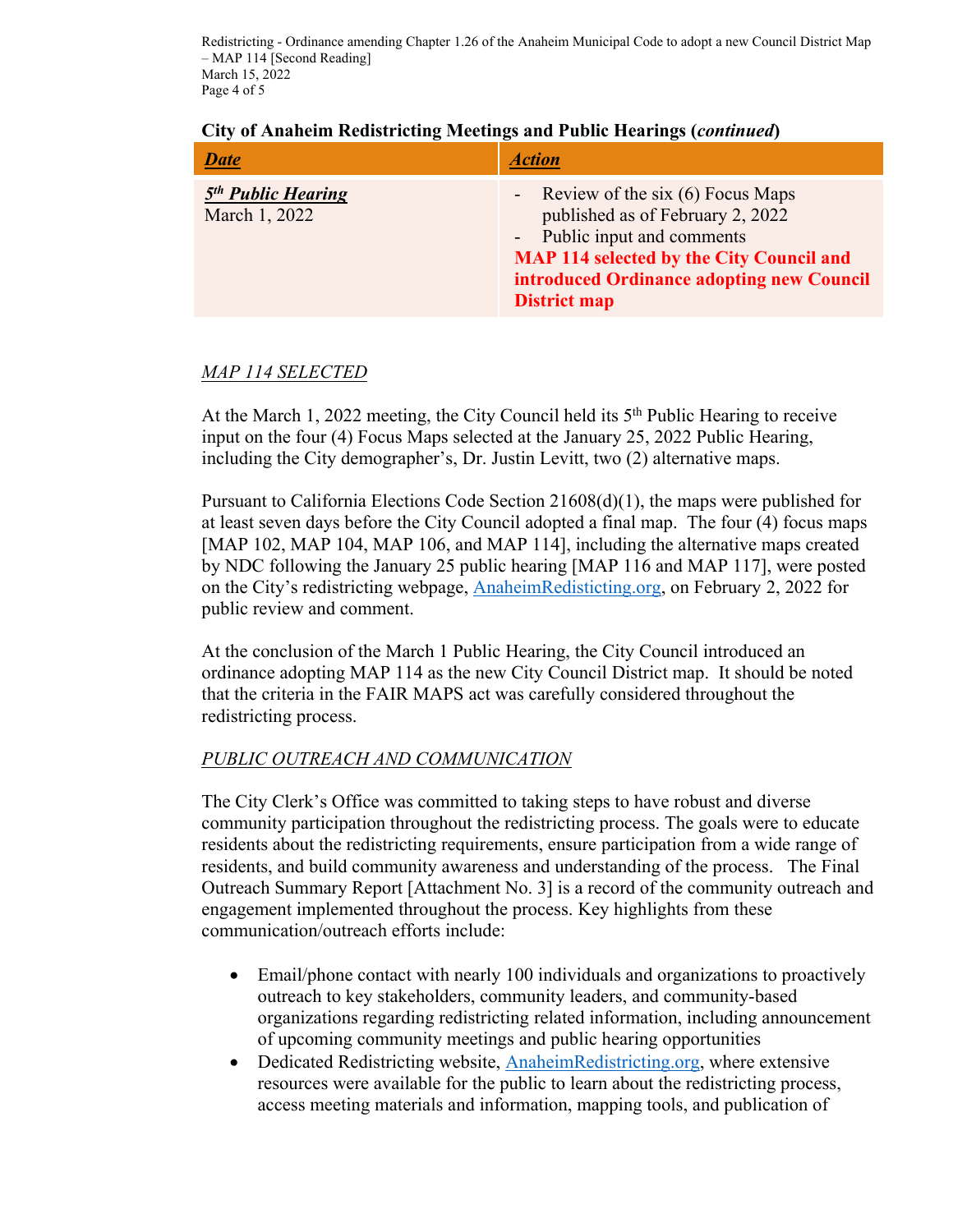Redistricting - Ordinance amending Chapter 1.26 of the Anaheim Municipal Code to adopt a new Council District Map – MAP 114 [Second Reading] March 15, 2022 Page 4 of 5

| <b>Date</b>                                     | <i><b>Action</b></i>                                                                                                                                                                                                           |
|-------------------------------------------------|--------------------------------------------------------------------------------------------------------------------------------------------------------------------------------------------------------------------------------|
| 5 <sup>th</sup> Public Hearing<br>March 1, 2022 | - Review of the six $(6)$ Focus Maps<br>published as of February 2, 2022<br>- Public input and comments<br><b>MAP 114 selected by the City Council and</b><br>introduced Ordinance adopting new Council<br><b>District map</b> |

#### **City of Anaheim Redistricting Meetings and Public Hearings (***continued***)**

# *MAP 114 SELECTED*

At the March 1, 2022 meeting, the City Council held its 5<sup>th</sup> Public Hearing to receive input on the four (4) Focus Maps selected at the January 25, 2022 Public Hearing, including the City demographer's, Dr. Justin Levitt, two (2) alternative maps.

Pursuant to California Elections Code Section 21608(d)(1), the maps were published for at least seven days before the City Council adopted a final map. The four (4) focus maps [MAP 102, MAP 104, MAP 106, and MAP 114], including the alternative maps created by NDC following the January 25 public hearing [MAP 116 and MAP 117], were posted on the City's redistricting webpage, AnaheimRedisticting.org, on February 2, 2022 for public review and comment.

At the conclusion of the March 1 Public Hearing, the City Council introduced an ordinance adopting MAP 114 as the new City Council District map. It should be noted that the criteria in the FAIR MAPS act was carefully considered throughout the redistricting process.

## *PUBLIC OUTREACH AND COMMUNICATION*

The City Clerk's Office was committed to taking steps to have robust and diverse community participation throughout the redistricting process. The goals were to educate residents about the redistricting requirements, ensure participation from a wide range of residents, and build community awareness and understanding of the process. The Final Outreach Summary Report [Attachment No. 3] is a record of the community outreach and engagement implemented throughout the process. Key highlights from these communication/outreach efforts include:

- Email/phone contact with nearly 100 individuals and organizations to proactively outreach to key stakeholders, community leaders, and community-based organizations regarding redistricting related information, including announcement of upcoming community meetings and public hearing opportunities
- Dedicated Redistricting website, AnaheimRedistricting.org, where extensive resources were available for the public to learn about the redistricting process, access meeting materials and information, mapping tools, and publication of